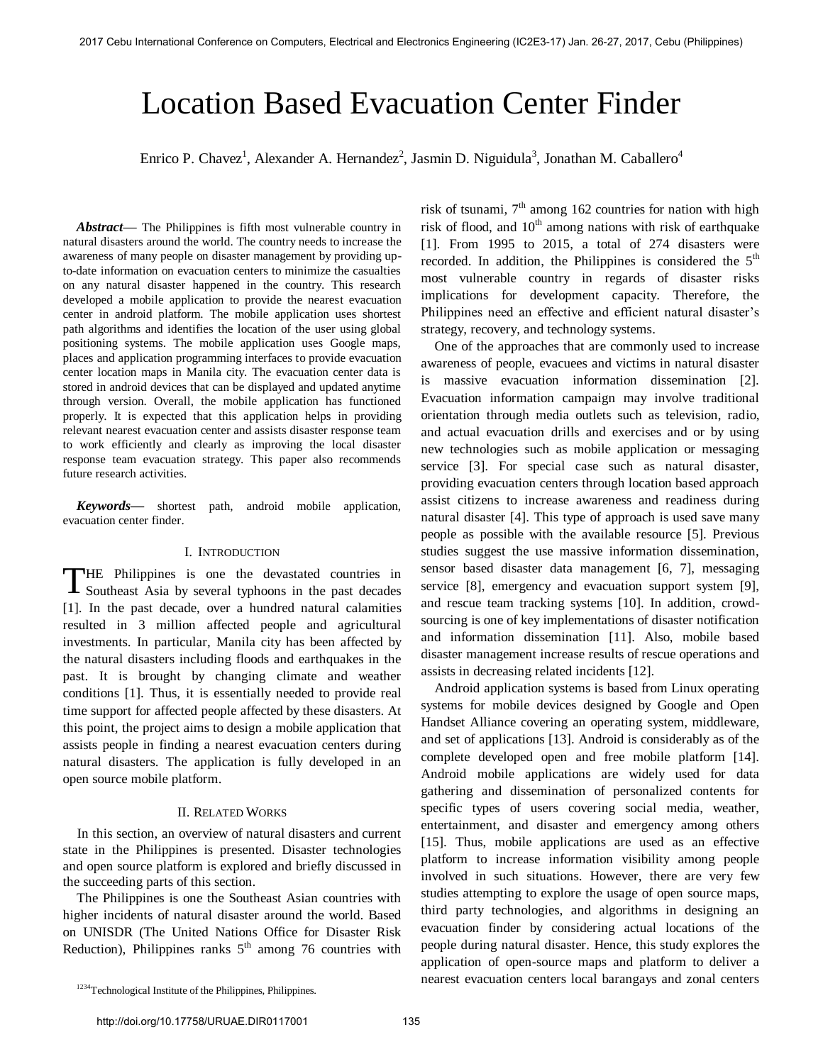# Location Based Evacuation Center Finder

Enrico P. Chavez<sup>1</sup>, Alexander A. Hernandez<sup>2</sup>, Jasmin D. Niguidula<sup>3</sup>, Jonathan M. Caballero<sup>4</sup>

*Abstract***—** The Philippines is fifth most vulnerable country in natural disasters around the world. The country needs to increase the awareness of many people on disaster management by providing upto-date information on evacuation centers to minimize the casualties on any natural disaster happened in the country. This research developed a mobile application to provide the nearest evacuation center in android platform. The mobile application uses shortest path algorithms and identifies the location of the user using global positioning systems. The mobile application uses Google maps, places and application programming interfaces to provide evacuation center location maps in Manila city. The evacuation center data is stored in android devices that can be displayed and updated anytime through version. Overall, the mobile application has functioned properly. It is expected that this application helps in providing relevant nearest evacuation center and assists disaster response team to work efficiently and clearly as improving the local disaster response team evacuation strategy. This paper also recommends future research activities.

*Keywords***—** shortest path, android mobile application, evacuation center finder.

### I. INTRODUCTION

HE Philippines is one the devastated countries in THE Philippines is one the devastated countries in Southeast Asia by several typhoons in the past decades [1]. In the past decade, over a hundred natural calamities resulted in 3 million affected people and agricultural investments. In particular, Manila city has been affected by the natural disasters including floods and earthquakes in the past. It is brought by changing climate and weather conditions [1]. Thus, it is essentially needed to provide real time support for affected people affected by these disasters. At this point, the project aims to design a mobile application that assists people in finding a nearest evacuation centers during natural disasters. The application is fully developed in an open source mobile platform.

## II. RELATED WORKS

 In this section, an overview of natural disasters and current state in the Philippines is presented. Disaster technologies and open source platform is explored and briefly discussed in the succeeding parts of this section.

The Philippines is one the Southeast Asian countries with higher incidents of natural disaster around the world. Based on UNISDR (The United Nations Office for Disaster Risk Reduction), Philippines ranks  $5<sup>th</sup>$  among 76 countries with

risk of tsunami,  $7<sup>th</sup>$  among 162 countries for nation with high risk of flood, and  $10<sup>th</sup>$  among nations with risk of earthquake [1]. From 1995 to 2015, a total of 274 disasters were recorded. In addition, the Philippines is considered the  $5<sup>th</sup>$ most vulnerable country in regards of disaster risks implications for development capacity. Therefore, the Philippines need an effective and efficient natural disaster's strategy, recovery, and technology systems.

One of the approaches that are commonly used to increase awareness of people, evacuees and victims in natural disaster is massive evacuation information dissemination [2]. Evacuation information campaign may involve traditional orientation through media outlets such as television, radio, and actual evacuation drills and exercises and or by using new technologies such as mobile application or messaging service [3]. For special case such as natural disaster, providing evacuation centers through location based approach assist citizens to increase awareness and readiness during natural disaster [4]. This type of approach is used save many people as possible with the available resource [5]. Previous studies suggest the use massive information dissemination, sensor based disaster data management [6, 7], messaging service [8], emergency and evacuation support system [9], and rescue team tracking systems [10]. In addition, crowdsourcing is one of key implementations of disaster notification and information dissemination [11]. Also, mobile based disaster management increase results of rescue operations and assists in decreasing related incidents [12].

Android application systems is based from Linux operating systems for mobile devices designed by Google and Open Handset Alliance covering an operating system, middleware, and set of applications [13]. Android is considerably as of the complete developed open and free mobile platform [14]. Android mobile applications are widely used for data gathering and dissemination of personalized contents for specific types of users covering social media, weather, entertainment, and disaster and emergency among others [15]. Thus, mobile applications are used as an effective platform to increase information visibility among people involved in such situations. However, there are very few studies attempting to explore the usage of open source maps, third party technologies, and algorithms in designing an evacuation finder by considering actual locations of the people during natural disaster. Hence, this study explores the application of open-source maps and platform to deliver a nearest evacuation centers local barangays and zonal centers

<sup>&</sup>lt;sup>1234</sup>Technological Institute of the Philippines, Philippines.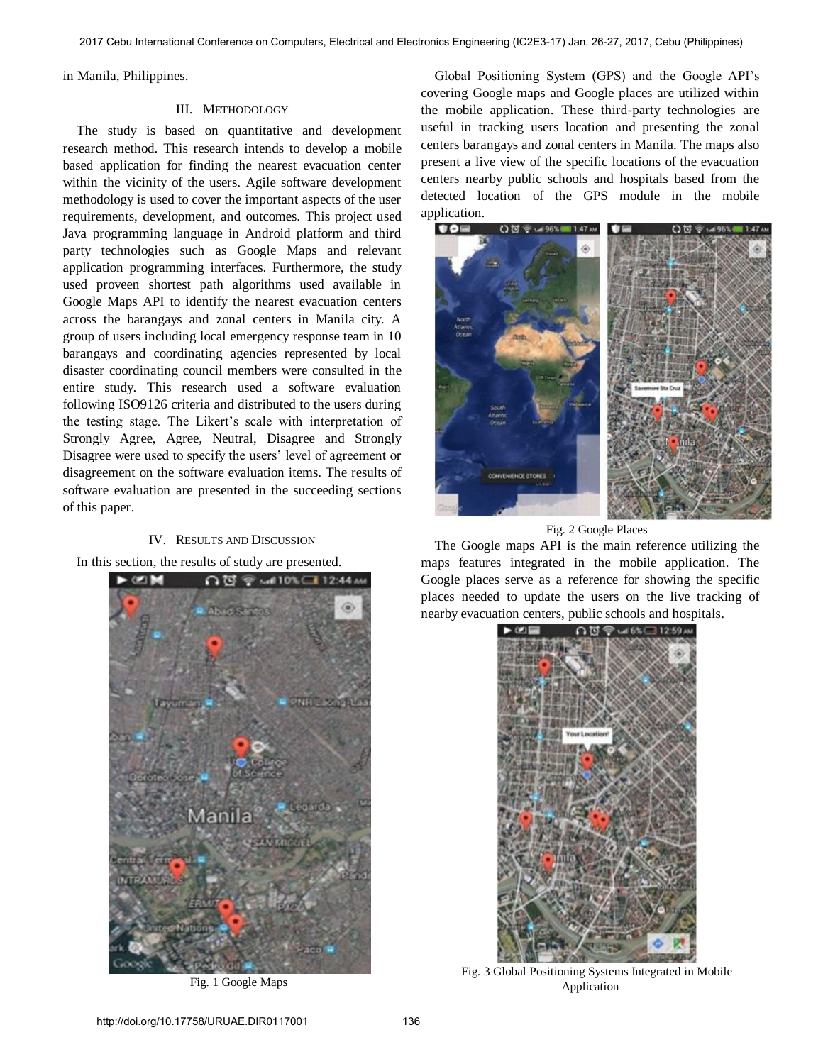in Manila, Philippines.

### III. METHODOLOGY

The study is based on quantitative and development research method. This research intends to develop a mobile based application for finding the nearest evacuation center within the vicinity of the users. Agile software development methodology is used to cover the important aspects of the user requirements, development, and outcomes. This project used Java programming language in Android platform and third party technologies such as Google Maps and relevant application programming interfaces. Furthermore, the study used proveen shortest path algorithms used available in Google Maps API to identify the nearest evacuation centers across the barangays and zonal centers in Manila city. A group of users including local emergency response team in 10 barangays and coordinating agencies represented by local disaster coordinating council members were consulted in the entire study. This research used a software evaluation following ISO9126 criteria and distributed to the users during the testing stage. The Likert's scale with interpretation of Strongly Agree, Agree, Neutral, Disagree and Strongly Disagree were used to specify the users' level of agreement or disagreement on the software evaluation items. The results of software evaluation are presented in the succeeding sections of this paper.

### IV. RESULTS AND DISCUSSION

In this section, the results of study are presented.



Fig. 1 Google Maps

Global Positioning System (GPS) and the Google API's covering Google maps and Google places are utilized within the mobile application. These third-party technologies are useful in tracking users location and presenting the zonal centers barangays and zonal centers in Manila. The maps also present a live view of the specific locations of the evacuation centers nearby public schools and hospitals based from the detected location of the GPS module in the mobile application.



Fig. 2 Google Places

The Google maps API is the main reference utilizing the maps features integrated in the mobile application. The Google places serve as a reference for showing the specific places needed to update the users on the live tracking of nearby evacuation centers, public schools and hospitals.



Fig. 3 Global Positioning Systems Integrated in Mobile Application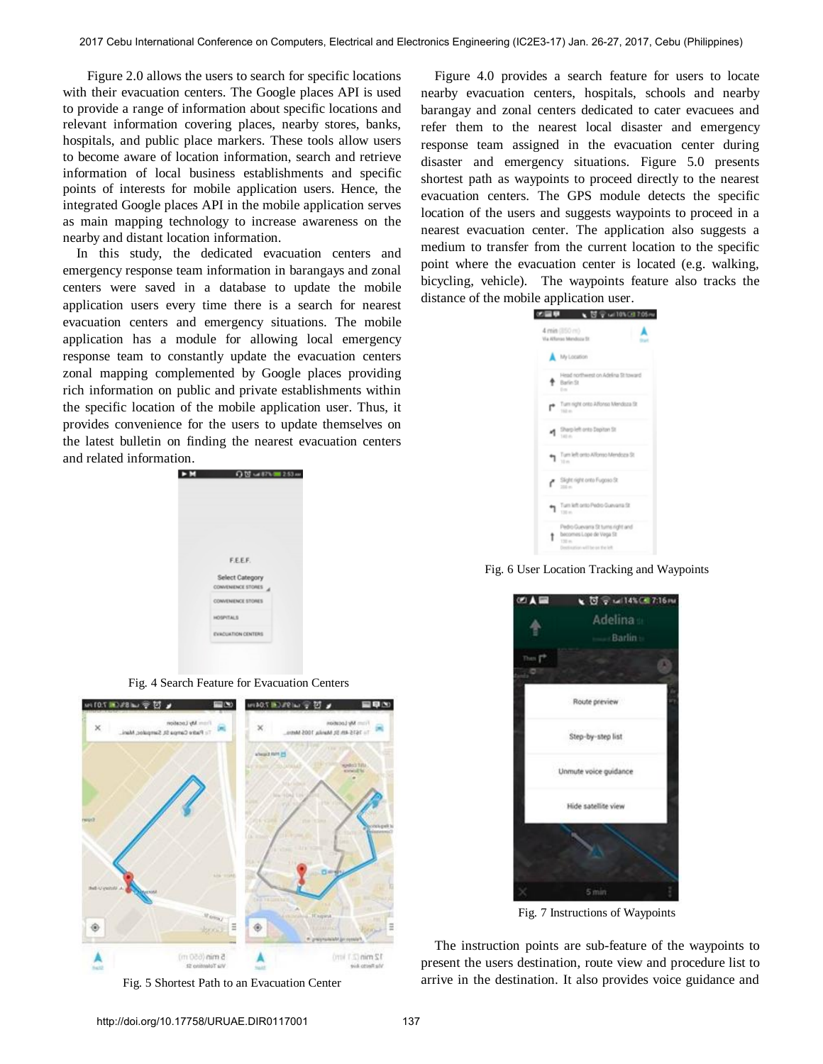Figure 2.0 allows the users to search for specific locations with their evacuation centers. The Google places API is used to provide a range of information about specific locations and relevant information covering places, nearby stores, banks, hospitals, and public place markers. These tools allow users to become aware of location information, search and retrieve information of local business establishments and specific points of interests for mobile application users. Hence, the integrated Google places API in the mobile application serves as main mapping technology to increase awareness on the nearby and distant location information.

In this study, the dedicated evacuation centers and emergency response team information in barangays and zonal centers were saved in a database to update the mobile application users every time there is a search for nearest evacuation centers and emergency situations. The mobile application has a module for allowing local emergency response team to constantly update the evacuation centers zonal mapping complemented by Google places providing rich information on public and private establishments within the specific location of the mobile application user. Thus, it provides convenience for the users to update themselves on the latest bulletin on finding the nearest evacuation centers and related information.

| ÞМ | QM uith = 253a            |
|----|---------------------------|
|    |                           |
|    |                           |
|    |                           |
|    |                           |
|    | F.E.E.F.                  |
|    | Select Category           |
|    | CONVENIENCE STORES        |
|    | CONVENENCE STORES         |
|    | HOSPITALS                 |
|    | <b>EVACUATION CENTERS</b> |
|    |                           |

Fig. 4 Search Feature for Evacuation Centers



Fig. 5 Shortest Path to an Evacuation Center

Figure 4.0 provides a search feature for users to locate nearby evacuation centers, hospitals, schools and nearby barangay and zonal centers dedicated to cater evacuees and refer them to the nearest local disaster and emergency response team assigned in the evacuation center during disaster and emergency situations. Figure 5.0 presents shortest path as waypoints to proceed directly to the nearest evacuation centers. The GPS module detects the specific location of the users and suggests waypoints to proceed in a nearest evacuation center. The application also suggests a medium to transfer from the current location to the specific point where the evacuation center is located (e.g. walking, bicycling, vehicle). The waypoints feature also tracks the distance of the mobile application user.



Fig. 6 User Location Tracking and Waypoints



Fig. 7 Instructions of Waypoints

The instruction points are sub-feature of the waypoints to present the users destination, route view and procedure list to arrive in the destination. It also provides voice guidance and